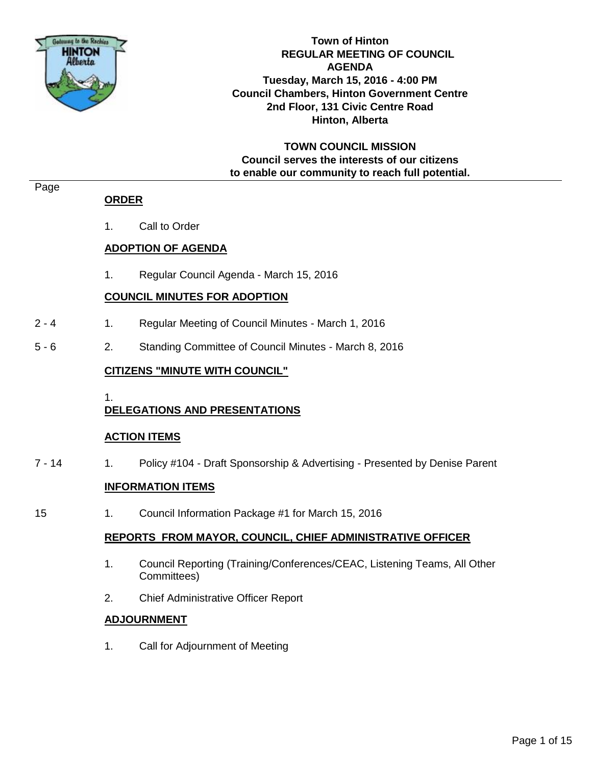

**Town of Hinton REGULAR MEETING OF COUNCIL AGENDA Tuesday, March 15, 2016 - 4:00 PM Council Chambers, Hinton Government Centre 2nd Floor, 131 Civic Centre Road Hinton, Alberta**

**TOWN COUNCIL MISSION Council serves the interests of our citizens to enable our community to reach full potential.**

#### Page

## **ORDER**

1. Call to Order

## **ADOPTION OF AGENDA**

1. Regular Council Agenda - March 15, 2016

## **COUNCIL MINUTES FOR ADOPTION**

- 2 4 1. Regular Meeting of Council Minutes March 1, 2016
- 5 6 2. Standing Committee of Council Minutes March 8, 2016

## **CITIZENS "MINUTE WITH COUNCIL"**

1.

## **DELEGATIONS AND PRESENTATIONS**

## **ACTION ITEMS**

7 - 14 1. Policy #104 - Draft Sponsorship & Advertising - Presented by Denise Parent

## **INFORMATION ITEMS**

15 1. Council Information Package #1 for March 15, 2016

## **REPORTS FROM MAYOR, COUNCIL, CHIEF ADMINISTRATIVE OFFICER**

- 1. Council Reporting (Training/Conferences/CEAC, Listening Teams, All Other Committees)
- 2. Chief Administrative Officer Report

## **ADJOURNMENT**

1. Call for Adjournment of Meeting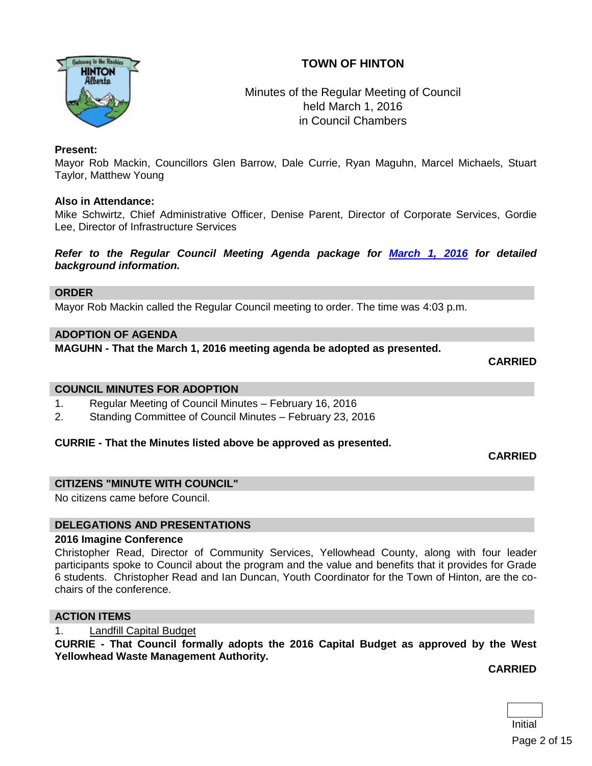# **TOWN OF HINTON**



# Minutes of the Regular Meeting of Council held March 1, 2016 in Council Chambers

### **Present:**

Mayor Rob Mackin, Councillors Glen Barrow, Dale Currie, Ryan Maguhn, Marcel Michaels, Stuart Taylor, Matthew Young

#### **Also in Attendance:**

Mike Schwirtz, Chief Administrative Officer, Denise Parent, Director of Corporate Services, Gordie Lee, Director of Infrastructure Services

*Refer to the Regular Council Meeting Agenda package for [March 1, 2016](http://www.hinton.ca/ArchiveCenter/ViewFile/Item/1672) for detailed background information.*

#### **ORDER**

Mayor Rob Mackin called the Regular Council meeting to order. The time was 4:03 p.m.

#### **ADOPTION OF AGENDA**

**MAGUHN - That the March 1, 2016 meeting agenda be adopted as presented.**

**CARRIED**

#### **COUNCIL MINUTES FOR ADOPTION**

- 1. Regular Meeting of Council Minutes February 16, 2016
- 2. Standing Committee of Council Minutes February 23, 2016

#### **CURRIE - That the Minutes listed above be approved as presented.**

#### **CARRIED**

#### **CITIZENS "MINUTE WITH COUNCIL"**

No citizens came before Council.

#### **DELEGATIONS AND PRESENTATIONS**

#### **2016 Imagine Conference**

Christopher Read, Director of Community Services, Yellowhead County, along with four leader participants spoke to Council about the program and the value and benefits that it provides for Grade 6 students. Christopher Read and Ian Duncan, Youth Coordinator for the Town of Hinton, are the cochairs of the conference.

#### **ACTION ITEMS**

1. Landfill Capital Budget

**CURRIE - That Council formally adopts the 2016 Capital Budget as approved by the West Yellowhead Waste Management Authority.**

**CARRIED**

Initial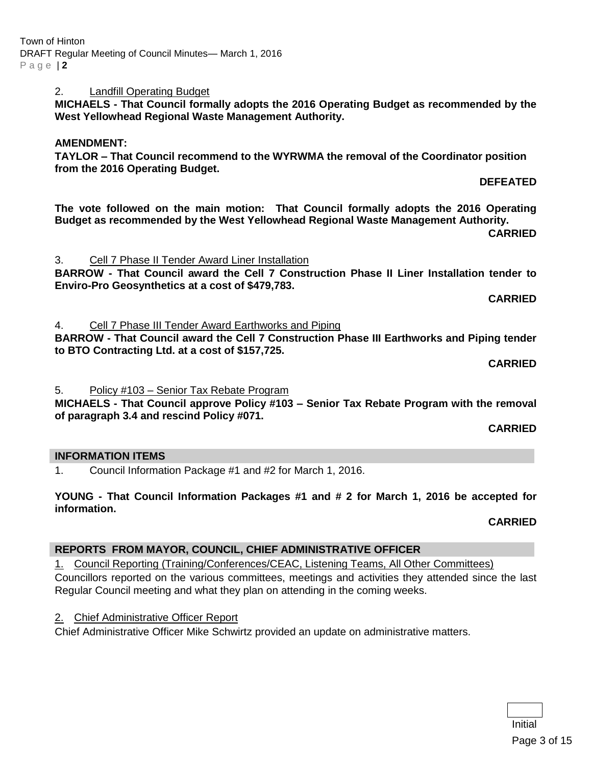# 2. Landfill Operating Budget

**MICHAELS - That Council formally adopts the 2016 Operating Budget as recommended by the West Yellowhead Regional Waste Management Authority.**

# **AMENDMENT:**

**TAYLOR – That Council recommend to the WYRWMA the removal of the Coordinator position from the 2016 Operating Budget.** 

**DEFEATED**

**The vote followed on the main motion: That Council formally adopts the 2016 Operating Budget as recommended by the West Yellowhead Regional Waste Management Authority.**

**CARRIED**

3. Cell 7 Phase II Tender Award Liner Installation **BARROW - That Council award the Cell 7 Construction Phase II Liner Installation tender to Enviro-Pro Geosynthetics at a cost of \$479,783.**

**CARRIED**

4. Cell 7 Phase III Tender Award Earthworks and Piping

**BARROW - That Council award the Cell 7 Construction Phase III Earthworks and Piping tender to BTO Contracting Ltd. at a cost of \$157,725.**

**CARRIED**

5. Policy #103 – Senior Tax Rebate Program

**MICHAELS - That Council approve Policy #103 – Senior Tax Rebate Program with the removal of paragraph 3.4 and rescind Policy #071.**

**CARRIED**

## **INFORMATION ITEMS**

1. Council Information Package #1 and #2 for March 1, 2016.

**YOUNG - That Council Information Packages #1 and # 2 for March 1, 2016 be accepted for information.**

**CARRIED**

## **REPORTS FROM MAYOR, COUNCIL, CHIEF ADMINISTRATIVE OFFICER**

1. Council Reporting (Training/Conferences/CEAC, Listening Teams, All Other Committees)

Councillors reported on the various committees, meetings and activities they attended since the last Regular Council meeting and what they plan on attending in the coming weeks.

2. Chief Administrative Officer Report

Chief Administrative Officer Mike Schwirtz provided an update on administrative matters.

Initial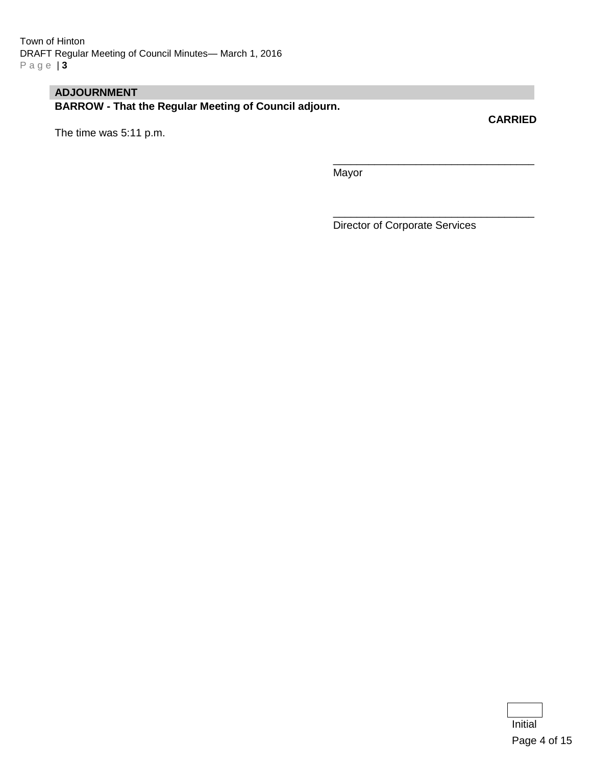# **ADJOURNMENT**

**BARROW - That the Regular Meeting of Council adjourn.**

The time was 5:11 p.m.

**CARRIED**

Mayor

Director of Corporate Services

\_\_\_\_\_\_\_\_\_\_\_\_\_\_\_\_\_\_\_\_\_\_\_\_\_\_\_\_\_\_\_\_\_\_

\_\_\_\_\_\_\_\_\_\_\_\_\_\_\_\_\_\_\_\_\_\_\_\_\_\_\_\_\_\_\_\_\_\_

Initial Page 4 of 15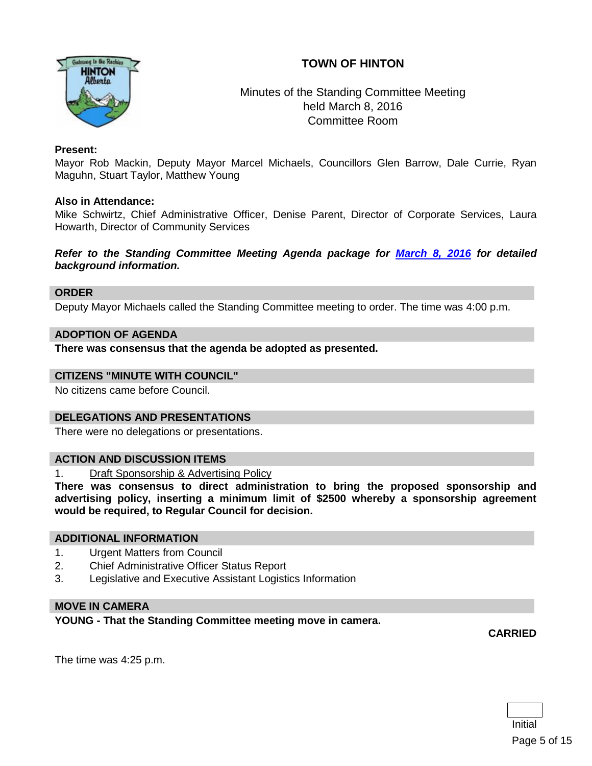# **TOWN OF HINTON**



# Minutes of the Standing Committee Meeting held March 8, 2016 Committee Room

## **Present:**

Mayor Rob Mackin, Deputy Mayor Marcel Michaels, Councillors Glen Barrow, Dale Currie, Ryan Maguhn, Stuart Taylor, Matthew Young

#### **Also in Attendance:**

Mike Schwirtz, Chief Administrative Officer, Denise Parent, Director of Corporate Services, Laura Howarth, Director of Community Services

*Refer to the Standing Committee Meeting Agenda package for [March 8, 2016](http://www.hinton.ca/ArchiveCenter/ViewFile/Item/1675) for detailed background information.*

#### **ORDER**

Deputy Mayor Michaels called the Standing Committee meeting to order. The time was 4:00 p.m.

#### **ADOPTION OF AGENDA**

**There was consensus that the agenda be adopted as presented.**

#### **CITIZENS "MINUTE WITH COUNCIL"**

No citizens came before Council.

## **DELEGATIONS AND PRESENTATIONS**

There were no delegations or presentations.

#### **ACTION AND DISCUSSION ITEMS**

1. Draft Sponsorship & Advertising Policy

**There was consensus to direct administration to bring the proposed sponsorship and advertising policy, inserting a minimum limit of \$2500 whereby a sponsorship agreement would be required, to Regular Council for decision.**

#### **ADDITIONAL INFORMATION**

- 1. Urgent Matters from Council
- 2. Chief Administrative Officer Status Report
- 3. Legislative and Executive Assistant Logistics Information

## **MOVE IN CAMERA**

**YOUNG - That the Standing Committee meeting move in camera.**

**CARRIED**

The time was 4:25 p.m.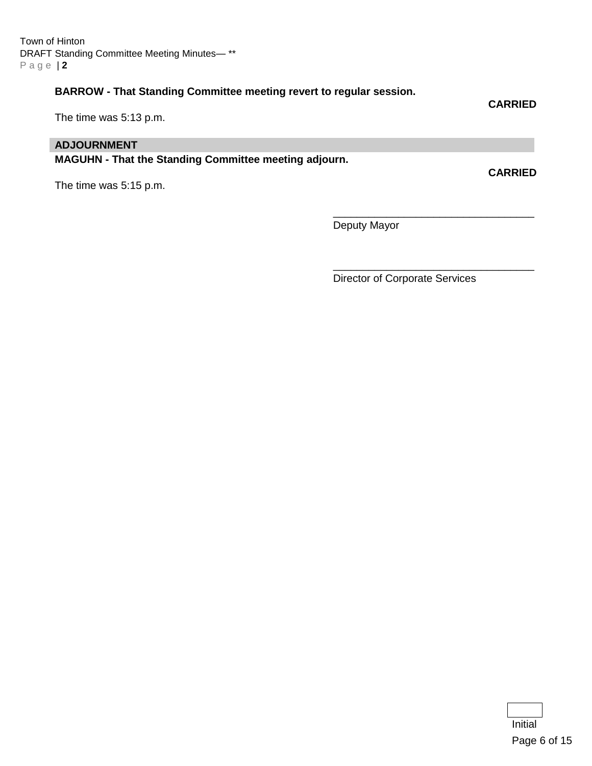Town of Hinton DRAFT Standing Committee Meeting Minutes— \*\* P a g e | **2**

# **BARROW - That Standing Committee meeting revert to regular session.**

**CARRIED**

**CARRIED**

## The time was 5:13 p.m.

## **ADJOURNMENT**

**MAGUHN - That the Standing Committee meeting adjourn.**

The time was 5:15 p.m.

Deputy Mayor

Director of Corporate Services

\_\_\_\_\_\_\_\_\_\_\_\_\_\_\_\_\_\_\_\_\_\_\_\_\_\_\_\_\_\_\_\_\_\_

\_\_\_\_\_\_\_\_\_\_\_\_\_\_\_\_\_\_\_\_\_\_\_\_\_\_\_\_\_\_\_\_\_\_

Initial Page 6 of 15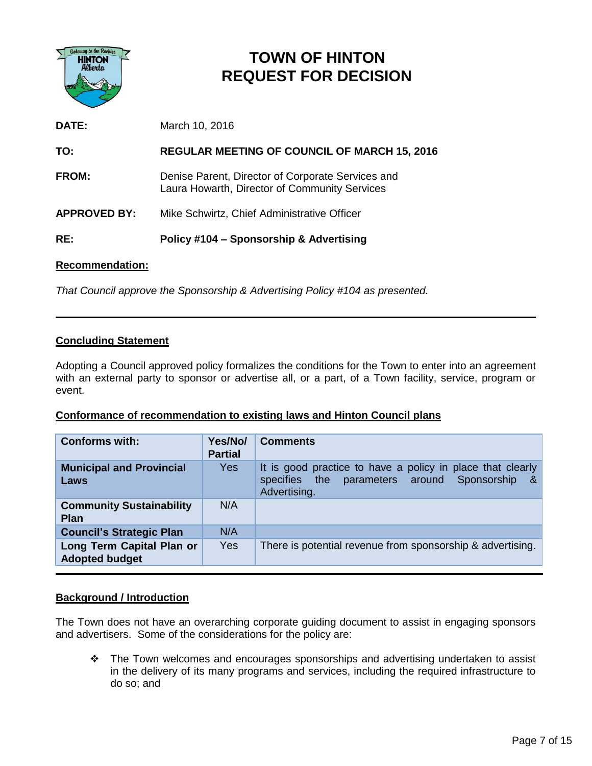

# **TOWN OF HINTON REQUEST FOR DECISION**

**DATE:** March 10, 2016

**TO: REGULAR MEETING OF COUNCIL OF MARCH 15, 2016**

**FROM:** Denise Parent, Director of Corporate Services and Laura Howarth, Director of Community Services

**APPROVED BY:** Mike Schwirtz, Chief Administrative Officer

**RE: Policy #104 – Sponsorship & Advertising**

## **Recommendation:**

*That Council approve the Sponsorship & Advertising Policy #104 as presented.*

## **Concluding Statement**

Adopting a Council approved policy formalizes the conditions for the Town to enter into an agreement with an external party to sponsor or advertise all, or a part, of a Town facility, service, program or event.

## **Conformance of recommendation to existing laws and Hinton Council plans**

| <b>Conforms with:</b>                              | Yes/No/<br><b>Partial</b> | <b>Comments</b>                                                                                                                 |
|----------------------------------------------------|---------------------------|---------------------------------------------------------------------------------------------------------------------------------|
| <b>Municipal and Provincial</b><br>Laws            | Yes                       | It is good practice to have a policy in place that clearly<br>specifies the parameters around Sponsorship<br>-&<br>Advertising. |
| <b>Community Sustainability</b><br><b>Plan</b>     | N/A                       |                                                                                                                                 |
| <b>Council's Strategic Plan</b>                    | N/A                       |                                                                                                                                 |
| Long Term Capital Plan or<br><b>Adopted budget</b> | Yes                       | There is potential revenue from sponsorship & advertising.                                                                      |

## **Background / Introduction**

The Town does not have an overarching corporate guiding document to assist in engaging sponsors and advertisers. Some of the considerations for the policy are:

\* The Town welcomes and encourages sponsorships and advertising undertaken to assist in the delivery of its many programs and services, including the required infrastructure to do so; and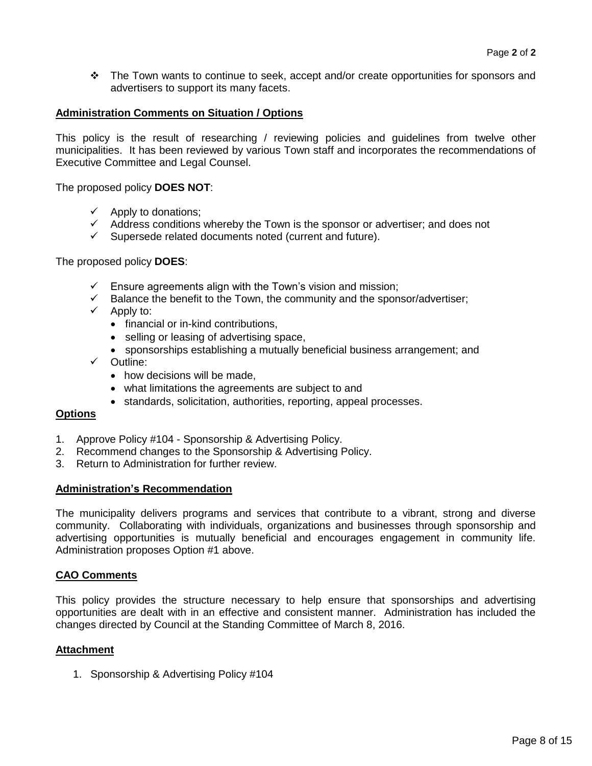\* The Town wants to continue to seek, accept and/or create opportunities for sponsors and advertisers to support its many facets.

#### **Administration Comments on Situation / Options**

This policy is the result of researching / reviewing policies and guidelines from twelve other municipalities. It has been reviewed by various Town staff and incorporates the recommendations of Executive Committee and Legal Counsel.

The proposed policy **DOES NOT**:

- $\checkmark$  Apply to donations;
- $\checkmark$  Address conditions whereby the Town is the sponsor or advertiser; and does not
- $\checkmark$  Supersede related documents noted (current and future).

#### The proposed policy **DOES**:

- $\checkmark$  Ensure agreements align with the Town's vision and mission;
- $\checkmark$  Balance the benefit to the Town, the community and the sponsor/advertiser;
- $\checkmark$  Apply to:
	- financial or in-kind contributions,
	- selling or leasing of advertising space,
	- sponsorships establishing a mutually beneficial business arrangement; and
- $\checkmark$  Outline:
	- how decisions will be made,
	- what limitations the agreements are subject to and
	- standards, solicitation, authorities, reporting, appeal processes.

#### **Options**

- 1. Approve Policy #104 Sponsorship & Advertising Policy.
- 2. Recommend changes to the Sponsorship & Advertising Policy.
- 3. Return to Administration for further review.

#### **Administration's Recommendation**

The municipality delivers programs and services that contribute to a vibrant, strong and diverse community. Collaborating with individuals, organizations and businesses through sponsorship and advertising opportunities is mutually beneficial and encourages engagement in community life. Administration proposes Option #1 above.

## **CAO Comments**

This policy provides the structure necessary to help ensure that sponsorships and advertising opportunities are dealt with in an effective and consistent manner. Administration has included the changes directed by Council at the Standing Committee of March 8, 2016.

## **Attachment**

1. Sponsorship & Advertising Policy #104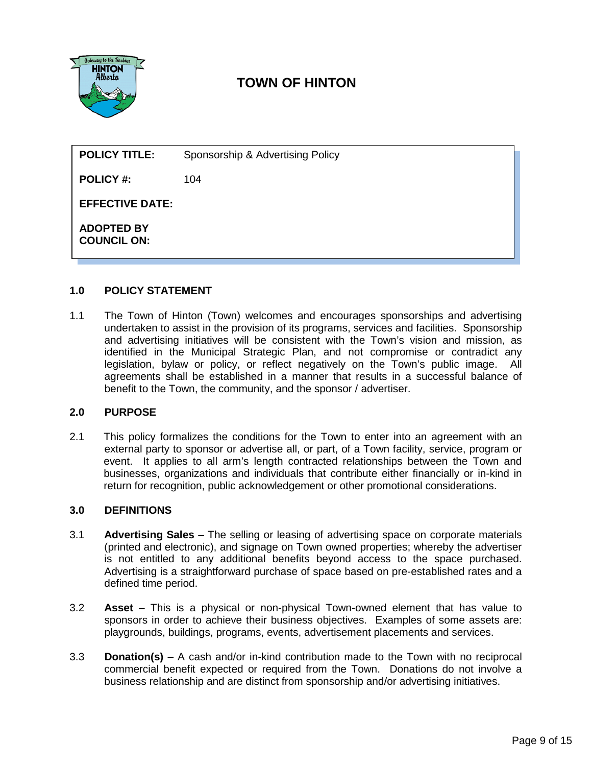

# **TOWN OF HINTON**

| <b>POLICY TITLE:</b>                    | Sponsorship & Advertising Policy |  |
|-----------------------------------------|----------------------------------|--|
| <b>POLICY #:</b>                        | 104                              |  |
| <b>EFFECTIVE DATE:</b>                  |                                  |  |
| <b>ADOPTED BY</b><br><b>COUNCIL ON:</b> |                                  |  |

#### **1.0 POLICY STATEMENT**

1.1 The Town of Hinton (Town) welcomes and encourages sponsorships and advertising undertaken to assist in the provision of its programs, services and facilities. Sponsorship and advertising initiatives will be consistent with the Town's vision and mission, as identified in the Municipal Strategic Plan, and not compromise or contradict any legislation, bylaw or policy, or reflect negatively on the Town's public image. All agreements shall be established in a manner that results in a successful balance of benefit to the Town, the community, and the sponsor / advertiser.

#### **2.0 PURPOSE**

2.1 This policy formalizes the conditions for the Town to enter into an agreement with an external party to sponsor or advertise all, or part, of a Town facility, service, program or event. It applies to all arm's length contracted relationships between the Town and businesses, organizations and individuals that contribute either financially or in-kind in return for recognition, public acknowledgement or other promotional considerations.

#### **3.0 DEFINITIONS**

- 3.1 **Advertising Sales** The selling or leasing of advertising space on corporate materials (printed and electronic), and signage on Town owned properties; whereby the advertiser is not entitled to any additional benefits beyond access to the space purchased. Advertising is a straightforward purchase of space based on pre-established rates and a defined time period.
- 3.2 **Asset** This is a physical or non-physical Town-owned element that has value to sponsors in order to achieve their business objectives. Examples of some assets are: playgrounds, buildings, programs, events, advertisement placements and services.
- 3.3 **Donation(s)** A cash and/or in-kind contribution made to the Town with no reciprocal commercial benefit expected or required from the Town. Donations do not involve a business relationship and are distinct from sponsorship and/or advertising initiatives.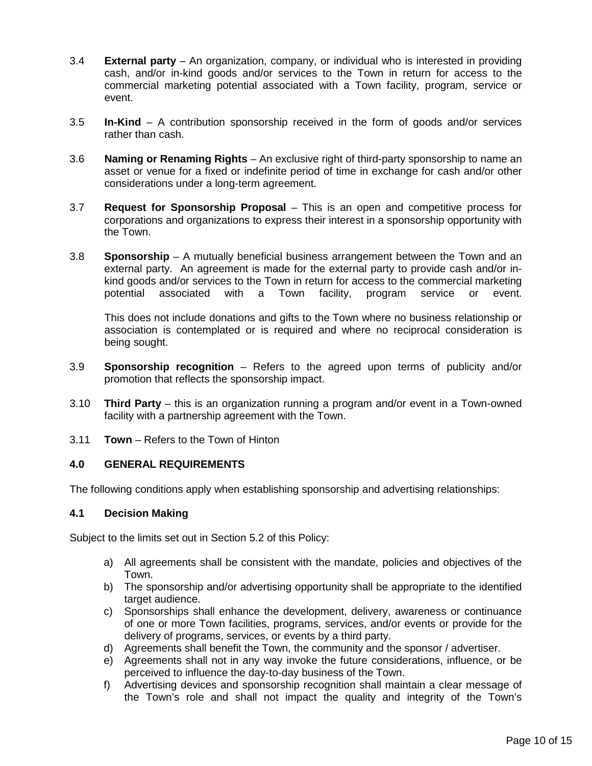- 3.4 **External party** An organization, company, or individual who is interested in providing cash, and/or in-kind goods and/or services to the Town in return for access to the commercial marketing potential associated with a Town facility, program, service or event.
- 3.5 **In-Kind** A contribution sponsorship received in the form of goods and/or services rather than cash.
- 3.6 **Naming or Renaming Rights** An exclusive right of third-party sponsorship to name an asset or venue for a fixed or indefinite period of time in exchange for cash and/or other considerations under a long-term agreement.
- 3.7 **Request for Sponsorship Proposal** This is an open and competitive process for corporations and organizations to express their interest in a sponsorship opportunity with the Town.
- 3.8 **Sponsorship** A mutually beneficial business arrangement between the Town and an external party. An agreement is made for the external party to provide cash and/or inkind goods and/or services to the Town in return for access to the commercial marketing potential associated with a Town facility, program service or event.

This does not include donations and gifts to the Town where no business relationship or association is contemplated or is required and where no reciprocal consideration is being sought.

- 3.9 **Sponsorship recognition** Refers to the agreed upon terms of publicity and/or promotion that reflects the sponsorship impact.
- 3.10 **Third Party** this is an organization running a program and/or event in a Town-owned facility with a partnership agreement with the Town.
- 3.11 **Town** Refers to the Town of Hinton

## **4.0 GENERAL REQUIREMENTS**

The following conditions apply when establishing sponsorship and advertising relationships:

#### **4.1 Decision Making**

Subject to the limits set out in Section 5.2 of this Policy:

- a) All agreements shall be consistent with the mandate, policies and objectives of the Town.
- b) The sponsorship and/or advertising opportunity shall be appropriate to the identified target audience.
- c) Sponsorships shall enhance the development, delivery, awareness or continuance of one or more Town facilities, programs, services, and/or events or provide for the delivery of programs, services, or events by a third party.
- d) Agreements shall benefit the Town, the community and the sponsor / advertiser.
- e) Agreements shall not in any way invoke the future considerations, influence, or be perceived to influence the day-to-day business of the Town.
- f) Advertising devices and sponsorship recognition shall maintain a clear message of the Town's role and shall not impact the quality and integrity of the Town's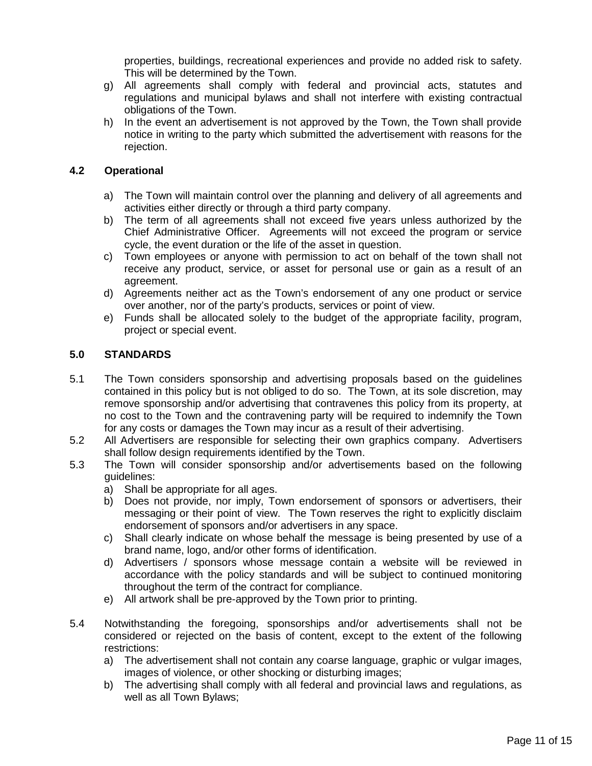properties, buildings, recreational experiences and provide no added risk to safety. This will be determined by the Town.

- g) All agreements shall comply with federal and provincial acts, statutes and regulations and municipal bylaws and shall not interfere with existing contractual obligations of the Town.
- h) In the event an advertisement is not approved by the Town, the Town shall provide notice in writing to the party which submitted the advertisement with reasons for the rejection.

## **4.2 Operational**

- a) The Town will maintain control over the planning and delivery of all agreements and activities either directly or through a third party company.
- b) The term of all agreements shall not exceed five years unless authorized by the Chief Administrative Officer. Agreements will not exceed the program or service cycle, the event duration or the life of the asset in question.
- c) Town employees or anyone with permission to act on behalf of the town shall not receive any product, service, or asset for personal use or gain as a result of an agreement.
- d) Agreements neither act as the Town's endorsement of any one product or service over another, nor of the party's products, services or point of view.
- e) Funds shall be allocated solely to the budget of the appropriate facility, program, project or special event.

#### **5.0 STANDARDS**

- 5.1 The Town considers sponsorship and advertising proposals based on the guidelines contained in this policy but is not obliged to do so. The Town, at its sole discretion, may remove sponsorship and/or advertising that contravenes this policy from its property, at no cost to the Town and the contravening party will be required to indemnify the Town for any costs or damages the Town may incur as a result of their advertising.
- 5.2 All Advertisers are responsible for selecting their own graphics company. Advertisers shall follow design requirements identified by the Town.
- 5.3 The Town will consider sponsorship and/or advertisements based on the following guidelines:
	- a) Shall be appropriate for all ages.
	- b) Does not provide, nor imply, Town endorsement of sponsors or advertisers, their messaging or their point of view. The Town reserves the right to explicitly disclaim endorsement of sponsors and/or advertisers in any space.
	- c) Shall clearly indicate on whose behalf the message is being presented by use of a brand name, logo, and/or other forms of identification.
	- d) Advertisers / sponsors whose message contain a website will be reviewed in accordance with the policy standards and will be subject to continued monitoring throughout the term of the contract for compliance.
	- e) All artwork shall be pre-approved by the Town prior to printing.
- 5.4 Notwithstanding the foregoing, sponsorships and/or advertisements shall not be considered or rejected on the basis of content, except to the extent of the following restrictions:
	- a) The advertisement shall not contain any coarse language, graphic or vulgar images, images of violence, or other shocking or disturbing images;
	- b) The advertising shall comply with all federal and provincial laws and regulations, as well as all Town Bylaws;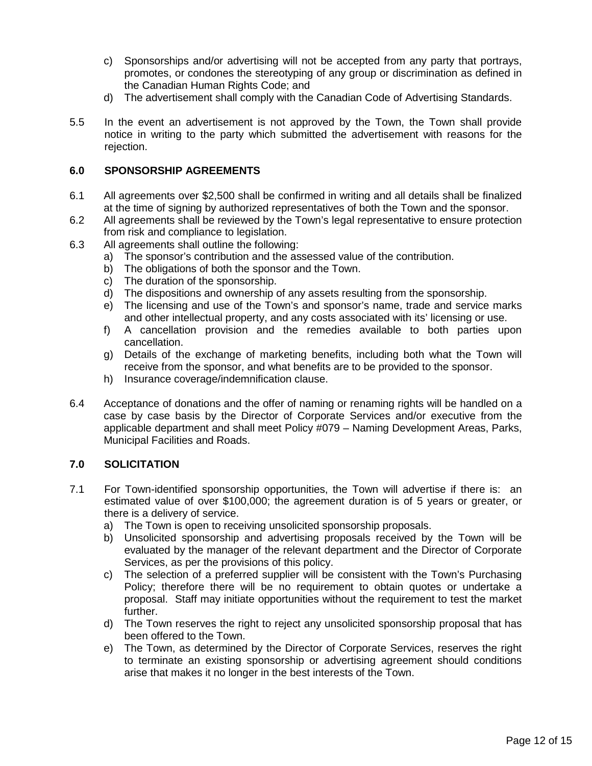- c) Sponsorships and/or advertising will not be accepted from any party that portrays, promotes, or condones the stereotyping of any group or discrimination as defined in the Canadian Human Rights Code; and
- d) The advertisement shall comply with the Canadian Code of Advertising Standards.
- 5.5 In the event an advertisement is not approved by the Town, the Town shall provide notice in writing to the party which submitted the advertisement with reasons for the rejection.

## **6.0 SPONSORSHIP AGREEMENTS**

- 6.1 All agreements over \$2,500 shall be confirmed in writing and all details shall be finalized at the time of signing by authorized representatives of both the Town and the sponsor.
- 6.2 All agreements shall be reviewed by the Town's legal representative to ensure protection from risk and compliance to legislation.
- 6.3 All agreements shall outline the following:
	- a) The sponsor's contribution and the assessed value of the contribution.
	- b) The obligations of both the sponsor and the Town.<br>c) The duration of the sponsorship.
	- The duration of the sponsorship.
	- d) The dispositions and ownership of any assets resulting from the sponsorship.
	- e) The licensing and use of the Town's and sponsor's name, trade and service marks and other intellectual property, and any costs associated with its' licensing or use.
	- f) A cancellation provision and the remedies available to both parties upon cancellation.
	- g) Details of the exchange of marketing benefits, including both what the Town will receive from the sponsor, and what benefits are to be provided to the sponsor.
	- h) Insurance coverage/indemnification clause.
- 6.4 Acceptance of donations and the offer of naming or renaming rights will be handled on a case by case basis by the Director of Corporate Services and/or executive from the applicable department and shall meet Policy #079 – Naming Development Areas, Parks, Municipal Facilities and Roads.

## **7.0 SOLICITATION**

- 7.1 For Town-identified sponsorship opportunities, the Town will advertise if there is: an estimated value of over \$100,000; the agreement duration is of 5 years or greater, or there is a delivery of service.
	- a) The Town is open to receiving unsolicited sponsorship proposals.
	- b) Unsolicited sponsorship and advertising proposals received by the Town will be evaluated by the manager of the relevant department and the Director of Corporate Services, as per the provisions of this policy.
	- c) The selection of a preferred supplier will be consistent with the Town's Purchasing Policy; therefore there will be no requirement to obtain quotes or undertake a proposal. Staff may initiate opportunities without the requirement to test the market further.
	- d) The Town reserves the right to reject any unsolicited sponsorship proposal that has been offered to the Town.
	- e) The Town, as determined by the Director of Corporate Services, reserves the right to terminate an existing sponsorship or advertising agreement should conditions arise that makes it no longer in the best interests of the Town.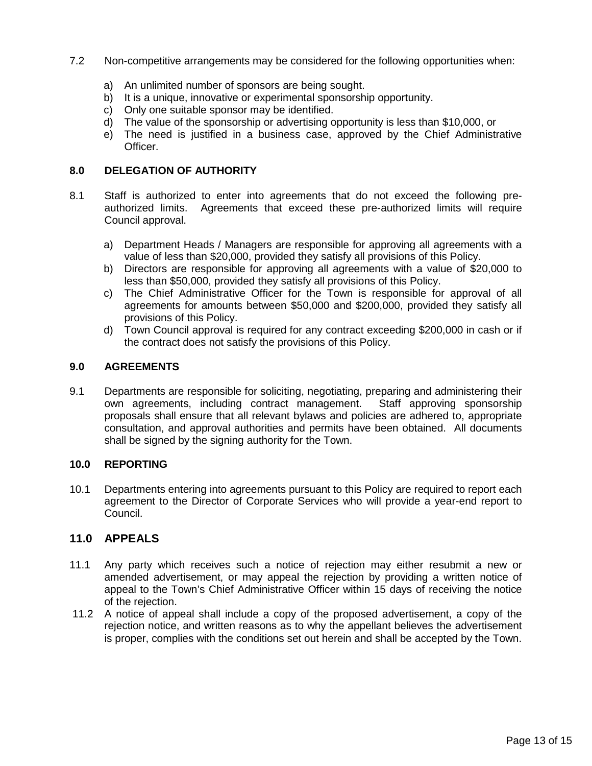- 7.2 Non-competitive arrangements may be considered for the following opportunities when:
	- a) An unlimited number of sponsors are being sought.
	- b) It is a unique, innovative or experimental sponsorship opportunity.
	- c) Only one suitable sponsor may be identified.
	- d) The value of the sponsorship or advertising opportunity is less than \$10,000, or
	- e) The need is justified in a business case, approved by the Chief Administrative Officer.

### **8.0 DELEGATION OF AUTHORITY**

- 8.1 Staff is authorized to enter into agreements that do not exceed the following preauthorized limits. Agreements that exceed these pre-authorized limits will require Council approval.
	- a) Department Heads / Managers are responsible for approving all agreements with a value of less than \$20,000, provided they satisfy all provisions of this Policy.
	- b) Directors are responsible for approving all agreements with a value of \$20,000 to less than \$50,000, provided they satisfy all provisions of this Policy.
	- c) The Chief Administrative Officer for the Town is responsible for approval of all agreements for amounts between \$50,000 and \$200,000, provided they satisfy all provisions of this Policy.
	- d) Town Council approval is required for any contract exceeding \$200,000 in cash or if the contract does not satisfy the provisions of this Policy.

### **9.0 AGREEMENTS**

9.1 Departments are responsible for soliciting, negotiating, preparing and administering their own agreements, including contract management. Staff approving sponsorship proposals shall ensure that all relevant bylaws and policies are adhered to, appropriate consultation, and approval authorities and permits have been obtained. All documents shall be signed by the signing authority for the Town.

#### **10.0 REPORTING**

10.1 Departments entering into agreements pursuant to this Policy are required to report each agreement to the Director of Corporate Services who will provide a year-end report to Council.

## **11.0 APPEALS**

- 11.1 Any party which receives such a notice of rejection may either resubmit a new or amended advertisement, or may appeal the rejection by providing a written notice of appeal to the Town's Chief Administrative Officer within 15 days of receiving the notice of the rejection.
- 11.2 A notice of appeal shall include a copy of the proposed advertisement, a copy of the rejection notice, and written reasons as to why the appellant believes the advertisement is proper, complies with the conditions set out herein and shall be accepted by the Town.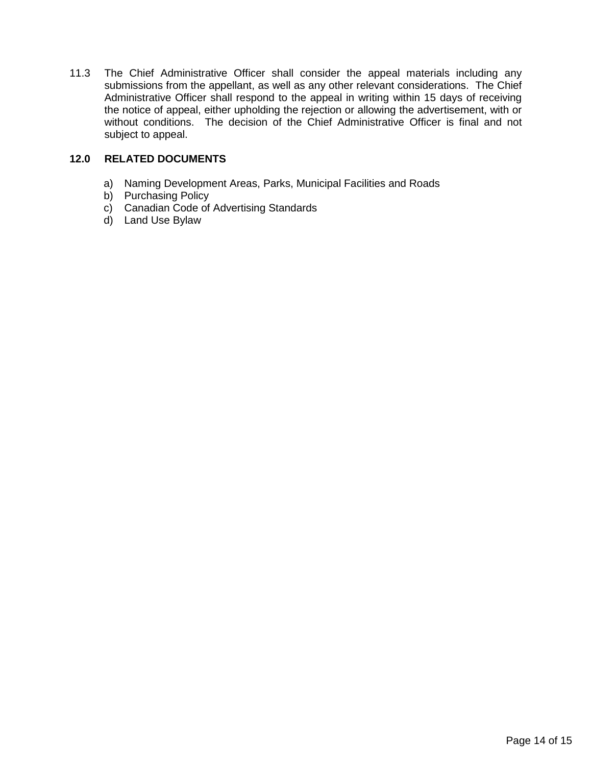11.3 The Chief Administrative Officer shall consider the appeal materials including any submissions from the appellant, as well as any other relevant considerations. The Chief Administrative Officer shall respond to the appeal in writing within 15 days of receiving the notice of appeal, either upholding the rejection or allowing the advertisement, with or without conditions. The decision of the Chief Administrative Officer is final and not subject to appeal.

### **12.0 RELATED DOCUMENTS**

- a) Naming Development Areas, Parks, Municipal Facilities and Roads
- b) Purchasing Policy
- c) Canadian Code of Advertising Standards
- d) Land Use Bylaw